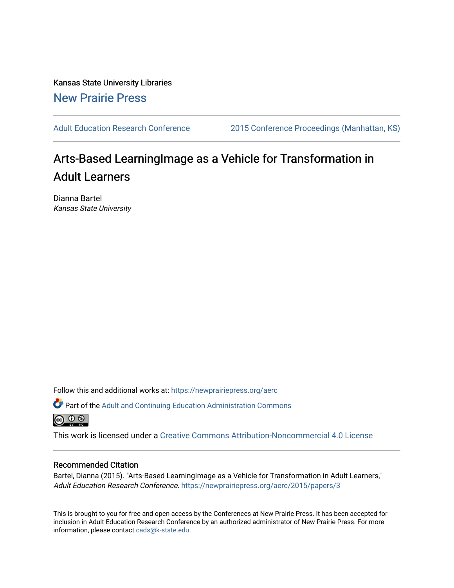Kansas State University Libraries [New Prairie Press](https://newprairiepress.org/) 

[Adult Education Research Conference](https://newprairiepress.org/aerc) [2015 Conference Proceedings \(Manhattan, KS\)](https://newprairiepress.org/aerc/2015) 

# Arts-Based LearningImage as a Vehicle for Transformation in Adult Learners

Dianna Bartel Kansas State University

Follow this and additional works at: [https://newprairiepress.org/aerc](https://newprairiepress.org/aerc?utm_source=newprairiepress.org%2Faerc%2F2015%2Fpapers%2F3&utm_medium=PDF&utm_campaign=PDFCoverPages)

Part of the [Adult and Continuing Education Administration Commons](http://network.bepress.com/hgg/discipline/789?utm_source=newprairiepress.org%2Faerc%2F2015%2Fpapers%2F3&utm_medium=PDF&utm_campaign=PDFCoverPages) <u>ெ ெ ⊜</u>

This work is licensed under a [Creative Commons Attribution-Noncommercial 4.0 License](https://creativecommons.org/licenses/by-nc/4.0/)

# Recommended Citation

Bartel, Dianna (2015). "Arts-Based LearningImage as a Vehicle for Transformation in Adult Learners," Adult Education Research Conference. <https://newprairiepress.org/aerc/2015/papers/3>

This is brought to you for free and open access by the Conferences at New Prairie Press. It has been accepted for inclusion in Adult Education Research Conference by an authorized administrator of New Prairie Press. For more information, please contact [cads@k-state.edu](mailto:cads@k-state.edu).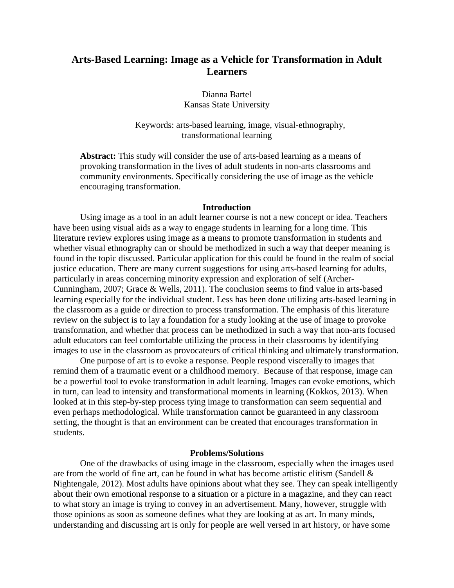# **Arts-Based Learning: Image as a Vehicle for Transformation in Adult Learners**

Dianna Bartel Kansas State University

Keywords: arts-based learning, image, visual-ethnography, transformational learning

**Abstract:** This study will consider the use of arts-based learning as a means of provoking transformation in the lives of adult students in non-arts classrooms and community environments. Specifically considering the use of image as the vehicle encouraging transformation.

# **Introduction**

Using image as a tool in an adult learner course is not a new concept or idea. Teachers have been using visual aids as a way to engage students in learning for a long time. This literature review explores using image as a means to promote transformation in students and whether visual ethnography can or should be methodized in such a way that deeper meaning is found in the topic discussed. Particular application for this could be found in the realm of social justice education. There are many current suggestions for using arts-based learning for adults, particularly in areas concerning minority expression and exploration of self (Archer-Cunningham, 2007; Grace & Wells, 2011). The conclusion seems to find value in arts-based learning especially for the individual student. Less has been done utilizing arts-based learning in the classroom as a guide or direction to process transformation. The emphasis of this literature review on the subject is to lay a foundation for a study looking at the use of image to provoke transformation, and whether that process can be methodized in such a way that non-arts focused adult educators can feel comfortable utilizing the process in their classrooms by identifying images to use in the classroom as provocateurs of critical thinking and ultimately transformation.

One purpose of art is to evoke a response. People respond viscerally to images that remind them of a traumatic event or a childhood memory. Because of that response, image can be a powerful tool to evoke transformation in adult learning. Images can evoke emotions, which in turn, can lead to intensity and transformational moments in learning (Kokkos, 2013). When looked at in this step-by-step process tying image to transformation can seem sequential and even perhaps methodological. While transformation cannot be guaranteed in any classroom setting, the thought is that an environment can be created that encourages transformation in students.

# **Problems/Solutions**

One of the drawbacks of using image in the classroom, especially when the images used are from the world of fine art, can be found in what has become artistic elitism (Sandell & Nightengale, 2012). Most adults have opinions about what they see. They can speak intelligently about their own emotional response to a situation or a picture in a magazine, and they can react to what story an image is trying to convey in an advertisement. Many, however, struggle with those opinions as soon as someone defines what they are looking at as art. In many minds, understanding and discussing art is only for people are well versed in art history, or have some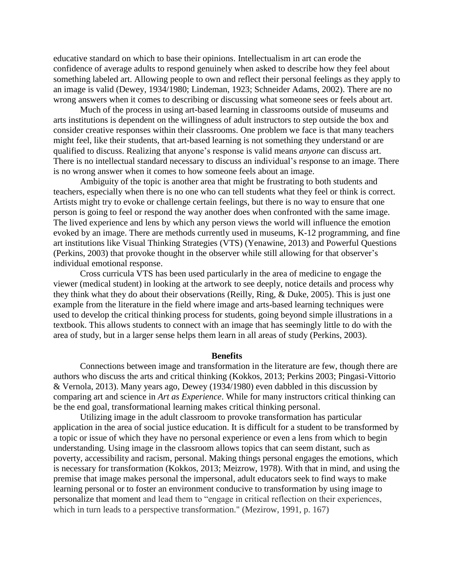educative standard on which to base their opinions. Intellectualism in art can erode the confidence of average adults to respond genuinely when asked to describe how they feel about something labeled art. Allowing people to own and reflect their personal feelings as they apply to an image is valid (Dewey, 1934/1980; Lindeman, 1923; Schneider Adams, 2002). There are no wrong answers when it comes to describing or discussing what someone sees or feels about art.

Much of the process in using art-based learning in classrooms outside of museums and arts institutions is dependent on the willingness of adult instructors to step outside the box and consider creative responses within their classrooms. One problem we face is that many teachers might feel, like their students, that art-based learning is not something they understand or are qualified to discuss. Realizing that anyone's response is valid means *anyone* can discuss art. There is no intellectual standard necessary to discuss an individual's response to an image. There is no wrong answer when it comes to how someone feels about an image.

Ambiguity of the topic is another area that might be frustrating to both students and teachers, especially when there is no one who can tell students what they feel or think is correct. Artists might try to evoke or challenge certain feelings, but there is no way to ensure that one person is going to feel or respond the way another does when confronted with the same image. The lived experience and lens by which any person views the world will influence the emotion evoked by an image. There are methods currently used in museums, K-12 programming, and fine art institutions like Visual Thinking Strategies (VTS) (Yenawine, 2013) and Powerful Questions (Perkins, 2003) that provoke thought in the observer while still allowing for that observer's individual emotional response.

Cross curricula VTS has been used particularly in the area of medicine to engage the viewer (medical student) in looking at the artwork to see deeply, notice details and process why they think what they do about their observations (Reilly, Ring, & Duke, 2005). This is just one example from the literature in the field where image and arts-based learning techniques were used to develop the critical thinking process for students, going beyond simple illustrations in a textbook. This allows students to connect with an image that has seemingly little to do with the area of study, but in a larger sense helps them learn in all areas of study (Perkins, 2003).

#### **Benefits**

Connections between image and transformation in the literature are few, though there are authors who discuss the arts and critical thinking (Kokkos, 2013; Perkins 2003; Pingasi-Vittorio & Vernola, 2013). Many years ago, Dewey (1934/1980) even dabbled in this discussion by comparing art and science in *Art as Experience*. While for many instructors critical thinking can be the end goal, transformational learning makes critical thinking personal.

Utilizing image in the adult classroom to provoke transformation has particular application in the area of social justice education. It is difficult for a student to be transformed by a topic or issue of which they have no personal experience or even a lens from which to begin understanding. Using image in the classroom allows topics that can seem distant, such as poverty, accessibility and racism, personal. Making things personal engages the emotions, which is necessary for transformation (Kokkos, 2013; Meizrow, 1978). With that in mind, and using the premise that image makes personal the impersonal, adult educators seek to find ways to make learning personal or to foster an environment conducive to transformation by using image to personalize that moment and lead them to "engage in critical reflection on their experiences, which in turn leads to a perspective transformation." (Mezirow, 1991, p. 167)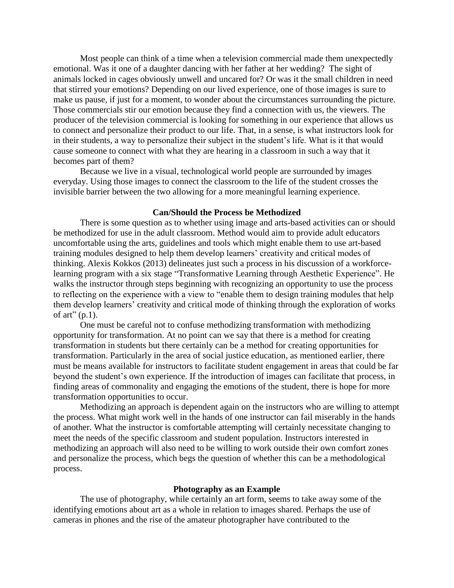Most people can think of a time when a television commercial made them unexpectedly emotional. Was it one of a daughter dancing with her father at her wedding? The sight of animals locked in cages obviously unwell and uncared for? Or was it the small children in need that stirred your emotions? Depending on our lived experience, one of those images is sure to make us pause, if just for a moment, to wonder about the circumstances surrounding the picture. Those commercials stir our emotion because they find a connection with us, the viewers. The producer of the television commercial is looking for something in our experience that allows us to connect and personalize their product to our life. That, in a sense, is what instructors look for in their students, a way to personalize their subject in the student's life. What is it that would cause someone to connect with what they are hearing in a classroom in such a way that it becomes part of them?

Because we live in a visual, technological world people are surrounded by images everyday. Using those images to connect the classroom to the life of the student crosses the invisible barrier between the two allowing for a more meaningful learning experience.

# **Can/Should the Process be Methodized**

There is some question as to whether using image and arts-based activities can or should be methodized for use in the adult classroom. Method would aim to provide adult educators uncomfortable using the arts, guidelines and tools which might enable them to use art-based training modules designed to help them develop learners' creativity and critical modes of thinking. Alexis Kokkos (2013) delineates just such a process in his discussion of a workforcelearning program with a six stage "Transformative Learning through Aesthetic Experience". He walks the instructor through steps beginning with recognizing an opportunity to use the process to reflecting on the experience with a view to "enable them to design training modules that help them develop learners' creativity and critical mode of thinking through the exploration of works of art"  $(p,1)$ .

One must be careful not to confuse methodizing transformation with methodizing opportunity for transformation. At no point can we say that there is a method for creating transformation in students but there certainly can be a method for creating opportunities for transformation. Particularly in the area of social justice education, as mentioned earlier, there must be means available for instructors to facilitate student engagement in areas that could be far beyond the student's own experience. If the introduction of images can facilitate that process, in finding areas of commonality and engaging the emotions of the student, there is hope for more transformation opportunities to occur.

Methodizing an approach is dependent again on the instructors who are willing to attempt the process. What might work well in the hands of one instructor can fail miserably in the hands of another. What the instructor is comfortable attempting will certainly necessitate changing to meet the needs of the specific classroom and student population. Instructors interested in methodizing an approach will also need to be willing to work outside their own comfort zones and personalize the process, which begs the question of whether this can be a methodological process.

# **Photography as an Example**

The use of photography, while certainly an art form, seems to take away some of the identifying emotions about art as a whole in relation to images shared. Perhaps the use of cameras in phones and the rise of the amateur photographer have contributed to the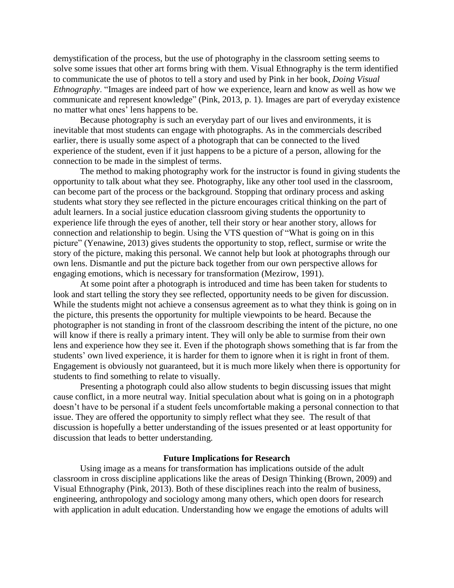demystification of the process, but the use of photography in the classroom setting seems to solve some issues that other art forms bring with them. Visual Ethnography is the term identified to communicate the use of photos to tell a story and used by Pink in her book, *Doing Visual Ethnography*. "Images are indeed part of how we experience, learn and know as well as how we communicate and represent knowledge" (Pink, 2013, p. 1). Images are part of everyday existence no matter what ones' lens happens to be.

Because photography is such an everyday part of our lives and environments, it is inevitable that most students can engage with photographs. As in the commercials described earlier, there is usually some aspect of a photograph that can be connected to the lived experience of the student, even if it just happens to be a picture of a person, allowing for the connection to be made in the simplest of terms.

The method to making photography work for the instructor is found in giving students the opportunity to talk about what they see. Photography, like any other tool used in the classroom, can become part of the process or the background. Stopping that ordinary process and asking students what story they see reflected in the picture encourages critical thinking on the part of adult learners. In a social justice education classroom giving students the opportunity to experience life through the eyes of another, tell their story or hear another story, allows for connection and relationship to begin. Using the VTS question of "What is going on in this picture" (Yenawine, 2013) gives students the opportunity to stop, reflect, surmise or write the story of the picture, making this personal. We cannot help but look at photographs through our own lens. Dismantle and put the picture back together from our own perspective allows for engaging emotions, which is necessary for transformation (Mezirow, 1991).

At some point after a photograph is introduced and time has been taken for students to look and start telling the story they see reflected, opportunity needs to be given for discussion. While the students might not achieve a consensus agreement as to what they think is going on in the picture, this presents the opportunity for multiple viewpoints to be heard. Because the photographer is not standing in front of the classroom describing the intent of the picture, no one will know if there is really a primary intent. They will only be able to surmise from their own lens and experience how they see it. Even if the photograph shows something that is far from the students' own lived experience, it is harder for them to ignore when it is right in front of them. Engagement is obviously not guaranteed, but it is much more likely when there is opportunity for students to find something to relate to visually.

Presenting a photograph could also allow students to begin discussing issues that might cause conflict, in a more neutral way. Initial speculation about what is going on in a photograph doesn't have to be personal if a student feels uncomfortable making a personal connection to that issue. They are offered the opportunity to simply reflect what they see. The result of that discussion is hopefully a better understanding of the issues presented or at least opportunity for discussion that leads to better understanding.

# **Future Implications for Research**

Using image as a means for transformation has implications outside of the adult classroom in cross discipline applications like the areas of Design Thinking (Brown, 2009) and Visual Ethnography (Pink, 2013). Both of these disciplines reach into the realm of business, engineering, anthropology and sociology among many others, which open doors for research with application in adult education. Understanding how we engage the emotions of adults will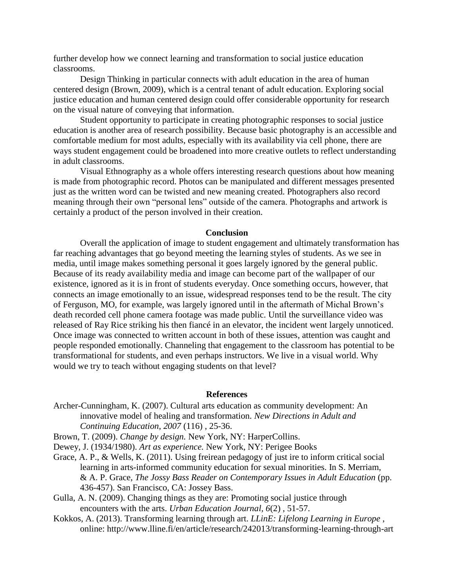further develop how we connect learning and transformation to social justice education classrooms.

Design Thinking in particular connects with adult education in the area of human centered design (Brown, 2009), which is a central tenant of adult education. Exploring social justice education and human centered design could offer considerable opportunity for research on the visual nature of conveying that information.

Student opportunity to participate in creating photographic responses to social justice education is another area of research possibility. Because basic photography is an accessible and comfortable medium for most adults, especially with its availability via cell phone, there are ways student engagement could be broadened into more creative outlets to reflect understanding in adult classrooms.

Visual Ethnography as a whole offers interesting research questions about how meaning is made from photographic record. Photos can be manipulated and different messages presented just as the written word can be twisted and new meaning created. Photographers also record meaning through their own "personal lens" outside of the camera. Photographs and artwork is certainly a product of the person involved in their creation.

# **Conclusion**

Overall the application of image to student engagement and ultimately transformation has far reaching advantages that go beyond meeting the learning styles of students. As we see in media, until image makes something personal it goes largely ignored by the general public. Because of its ready availability media and image can become part of the wallpaper of our existence, ignored as it is in front of students everyday. Once something occurs, however, that connects an image emotionally to an issue, widespread responses tend to be the result. The city of Ferguson, MO, for example, was largely ignored until in the aftermath of Michal Brown's death recorded cell phone camera footage was made public. Until the surveillance video was released of Ray Rice striking his then fiancé in an elevator, the incident went largely unnoticed. Once image was connected to written account in both of these issues, attention was caught and people responded emotionally. Channeling that engagement to the classroom has potential to be transformational for students, and even perhaps instructors. We live in a visual world. Why would we try to teach without engaging students on that level?

#### **References**

Archer-Cunningham, K. (2007). Cultural arts education as community development: An innovative model of healing and transformation. *New Directions in Adult and Continuing Education*, *2007* (116) , 25-36.

Brown, T. (2009). *Change by design.* New York, NY: HarperCollins.

- Dewey, J. (1934/1980). *Art as experience.* New York, NY: Perigee Books
- Grace, A. P., & Wells, K. (2011). Using freirean pedagogy of just ire to inform critical social learning in arts-informed community education for sexual minorities. In S. Merriam, & A. P. Grace, *The Jossy Bass Reader on Contemporary Issues in Adult Education* (pp. 436-457). San Francisco, CA: Jossey Bass.
- Gulla, A. N. (2009). Changing things as they are: Promoting social justice through encounters with the arts. *Urban Education Journal, 6*(2) , 51-57.
- Kokkos, A. (2013). Transforming learning through art. *LLinE: Lifelong Learning in Europe* , online: http://www.lline.fi/en/article/research/242013/transforming-learning-through-art